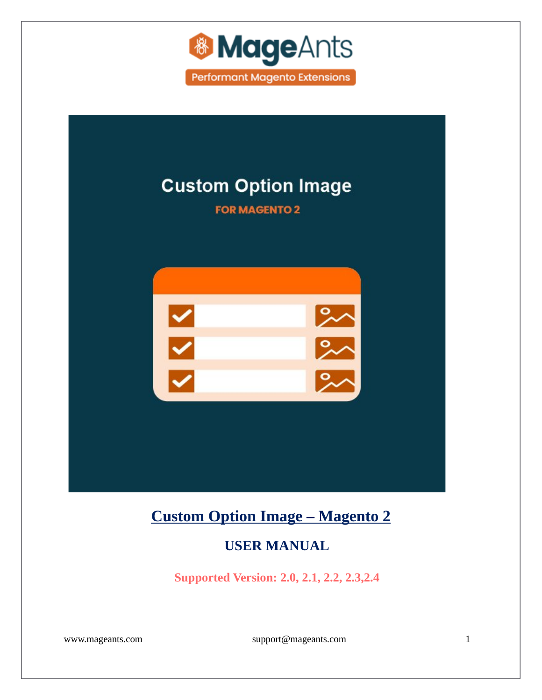



# **[Custom Option Image – Magento 2](https://www.mageants.com/custom-option-image.html)**

### **USER MANUAL**

**Supported Version: 2.0, 2.1, 2.2, 2.3,2.4**

[www.mageants.com](http://www.mageants.com/) [support@mageants.com](mailto:support@mageants.com) 1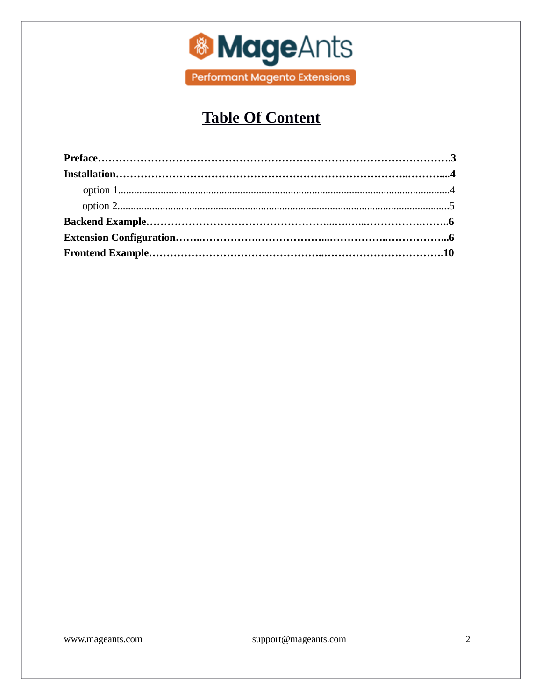

## **Table Of Content**

www.mageants.com

support@mageants.com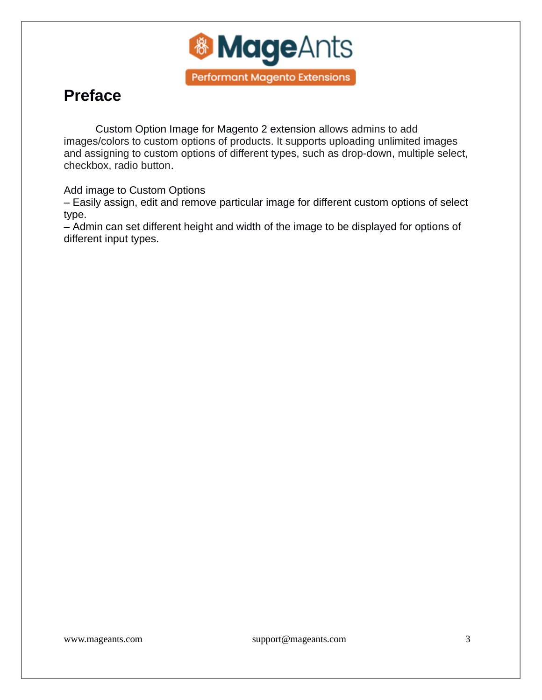

## <span id="page-2-0"></span>**Preface**

Custom Option Image for Magento 2 extension allows admins to add images/colors to custom options of products. It supports uploading unlimited images and assigning to custom options of different types, such as drop-down, multiple select, checkbox, radio button.

Add image to Custom Options

– Easily assign, edit and remove particular image for different custom options of select type.

– Admin can set different height and width of the image to be displayed for options of different input types.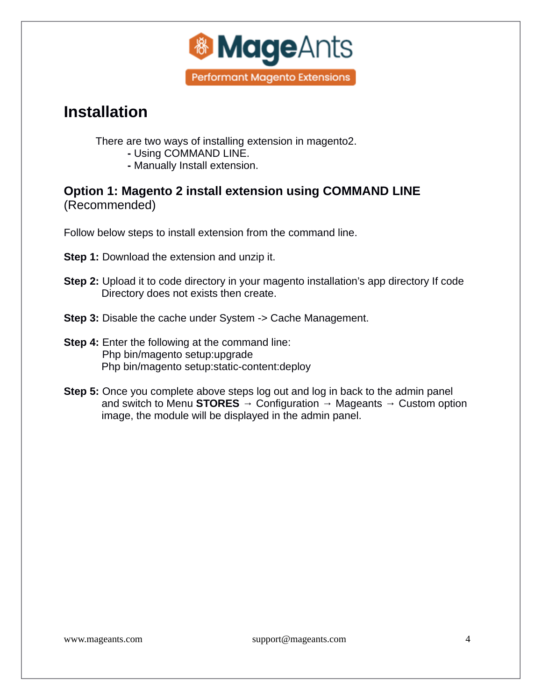

## <span id="page-3-0"></span>**Installation**

There are two ways of installing extension in magento2.

- Using COMMAND LINE.
- Manually Install extension.

**Option 1: Magento 2 install extension using COMMAND LINE**  (Recommended)

Follow below steps to install extension from the command line.

**Step 1:** Download the extension and unzip it.

- **Step 2:** Upload it to code directory in your magento installation's app directory If code Directory does not exists then create.
- **Step 3:** Disable the cache under System -> Cache Management.
- **Step 4:** Enter the following at the command line: Php bin/magento setup:upgrade Php bin/magento setup:static-content:deploy
- **Step 5:** Once you complete above steps log out and log in back to the admin panel and switch to Menu **STORES** → Configuration → Mageants → Custom option image, the module will be displayed in the admin panel.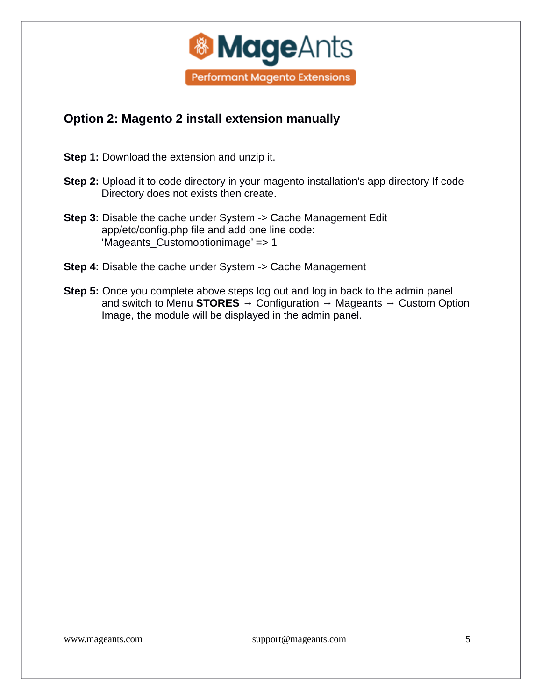

### <span id="page-4-0"></span>**Option 2: Magento 2 install extension manually**

**Step 1:** Download the extension and unzip it.

- **Step 2:** Upload it to code directory in your magento installation's app directory If code Directory does not exists then create.
- **Step 3:** Disable the cache under System -> Cache Management Edit app/etc/config.php file and add one line code: 'Mageants\_Customoptionimage' => 1
- **Step 4:** Disable the cache under System -> Cache Management
- **Step 5:** Once you complete above steps log out and log in back to the admin panel and switch to Menu **STORES** → Configuration → Mageants → Custom Option Image, the module will be displayed in the admin panel.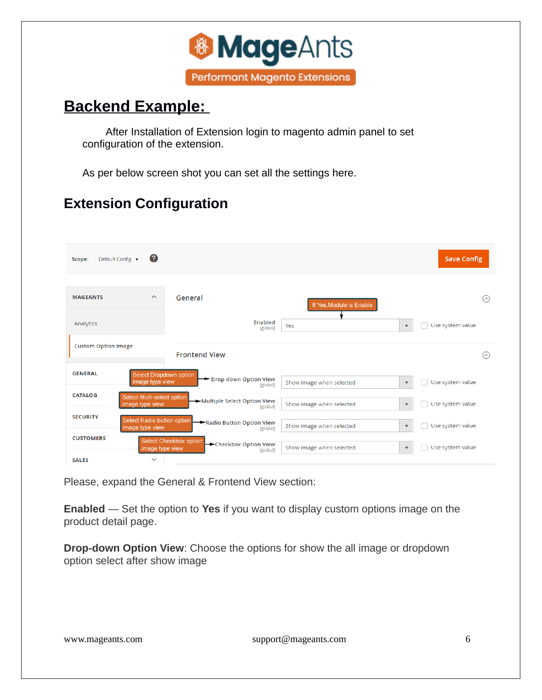

## <span id="page-5-0"></span>**Backend Example:**

After Installation of Extension login to magento admin panel to set configuration of the extension.

As per below screen shot you can set all the settings here.

### **Extension Configuration**

| Default Config ▼<br>Scope: | (?)                                           |                        |                                                |                          |                           | <b>Save Config</b> |                           |
|----------------------------|-----------------------------------------------|------------------------|------------------------------------------------|--------------------------|---------------------------|--------------------|---------------------------|
| <b>MAGEANTS</b>            | $\widehat{\phantom{a}}$                       | General                |                                                | If Yes, Module is Enable |                           |                    | $(\widehat{\phantom{a}})$ |
| Analytics                  |                                               |                        | Enabled<br>[global]                            | Yes                      | $\blacktriangledown$      | Use system value   |                           |
| <b>Custom Option Image</b> |                                               | <b>Frontend View</b>   |                                                |                          |                           |                    | $(\widehat{\phantom{a}})$ |
| <b>GENERAL</b>             | Select Dropdown option<br>image type view     |                        | Drop-down Option View<br>[global]              | Show image when selected | $\boldsymbol{\mathrm{v}}$ | Use system value   |                           |
| <b>CATALOG</b>             | Select Multi-select option<br>image type view |                        | Multiple Select Option View<br><b>[global]</b> | Show image when selected | $\blacktriangledown$      | Use system value   |                           |
| <b>SECURITY</b>            | Select Radio button option<br>image type view |                        | Radio Button Option View<br>[global]           | Show image when selected | $\blacktriangledown$      | Use system value   |                           |
| <b>CUSTOMERS</b>           | image type view                               | Select Checkbox option | Checkbox Option View<br>[global]               | Show image when selected | $\blacktriangledown$      | Use system value   |                           |
| <b>SALES</b>               | $\checkmark$                                  |                        |                                                |                          |                           |                    |                           |

Please, expand the General & Frontend View section:

**Enabled** — Set the option to **Yes** if you want to display custom options image on the product detail page.

**Drop-down Option View**: Choose the options for show the all image or dropdown option select after show image

[www.mageants.com](http://www.mageants.com/) [support@mageants.com](mailto:support@mageants.com) 6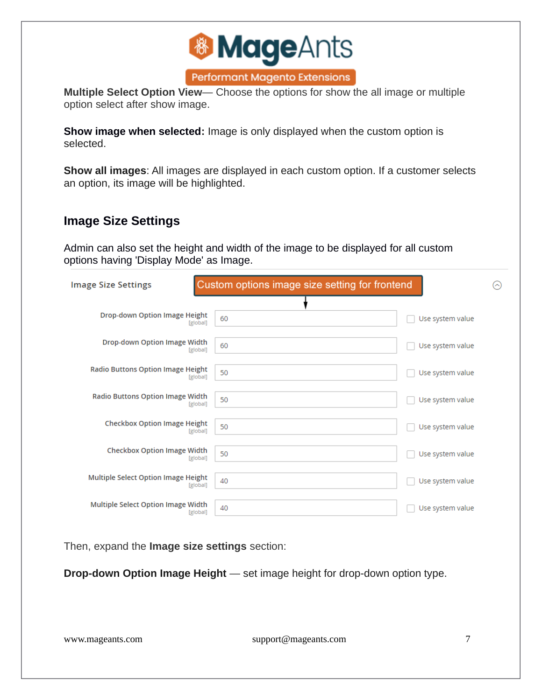

**Multiple Select Option View**— Choose the options for show the all image or multiple option select after show image.

**Show image when selected:** Image is only displayed when the custom option is selected.

**Show all images**: All images are displayed in each custom option. If a customer selects an option, its image will be highlighted.

### **Image Size Settings**

Admin can also set the height and width of the image to be displayed for all custom options having 'Display Mode' as Image.

| <b>Image Size Settings</b>                              | Custom options image size setting for frontend |                  | $(\widehat{\phantom{a}})$ |
|---------------------------------------------------------|------------------------------------------------|------------------|---------------------------|
| <b>Drop-down Option Image Height</b><br><b>[global]</b> | 60                                             | Use system value |                           |
| Drop-down Option Image Width<br>[global]                | 60                                             | Use system value |                           |
| <b>Radio Buttons Option Image Height</b><br>[global]    | 50                                             | Use system value |                           |
| <b>Radio Buttons Option Image Width</b><br>[global]     | 50                                             | Use system value |                           |
| <b>Checkbox Option Image Height</b><br>[global]         | 50                                             | Use system value |                           |
| <b>Checkbox Option Image Width</b><br>[global]          | 50                                             | Use system value |                           |
| Multiple Select Option Image Height<br>[global]         | 40                                             | Use system value |                           |
| Multiple Select Option Image Width<br>[global]          | 40                                             | Use system value |                           |

Then, expand the **Image size settings** section:

**Drop-down Option Image Height** — set image height for drop-down option type.

[www.mageants.com](http://www.mageants.com/) [support@mageants.com](mailto:support@mageants.com) 7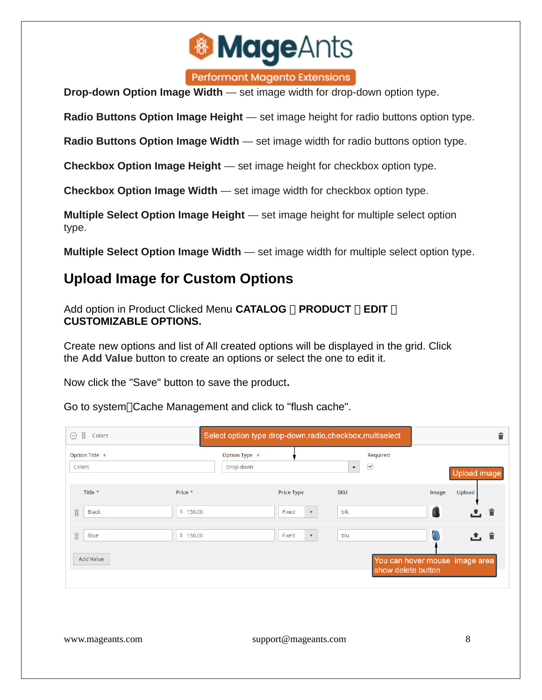

**Performant Magento Extensions** 

**Drop-down Option Image Width** — set image width for drop-down option type.

**Radio Buttons Option Image Height** — set image height for radio buttons option type.

**Radio Buttons Option Image Width** — set image width for radio buttons option type.

**Checkbox Option Image Height** — set image height for checkbox option type.

**Checkbox Option Image Width** — set image width for checkbox option type.

**Multiple Select Option Image Height** — set image height for multiple select option type.

**Multiple Select Option Image Width** — set image width for multiple select option type.

### **Upload Image for Custom Options**

Add option in Product Clicked Menu **CATALOG PRODUCT EDIT CUSTOMIZABLE OPTIONS.**

Create new options and list of All created options will be displayed in the grid. Click the **Add Value** button to create an options or select the one to edit it.

Now click the "Save" button to save the product**.**

Go to system<sup>[</sup>Cache Management and click to "flush cache".

| ÷<br>Colors<br>ଚ               |                            |                                    | Select option type drop-down, radio, checkbox, multiselect | ÷                              |
|--------------------------------|----------------------------|------------------------------------|------------------------------------------------------------|--------------------------------|
| Option Title $\star$<br>Colors | Option Type *<br>Drop-down |                                    | Required<br>$\checkmark$<br>$\blacktriangledown$           | Upload image                   |
| Title *                        | Price *                    | <b>Price Type</b>                  | <b>SKU</b>                                                 | Upload<br>Image                |
| H<br><b>Black</b>              | \$150.00                   | Fixed<br>$\mathbf{v}$              | blk                                                        | 土主                             |
| H<br>Blue                      | \$150.00                   | Fixed<br>$\boldsymbol{\mathrm{v}}$ | blu                                                        | 俊<br>土土                        |
| <b>Add Value</b>               |                            |                                    | show delete button                                         | You can hover mouse image area |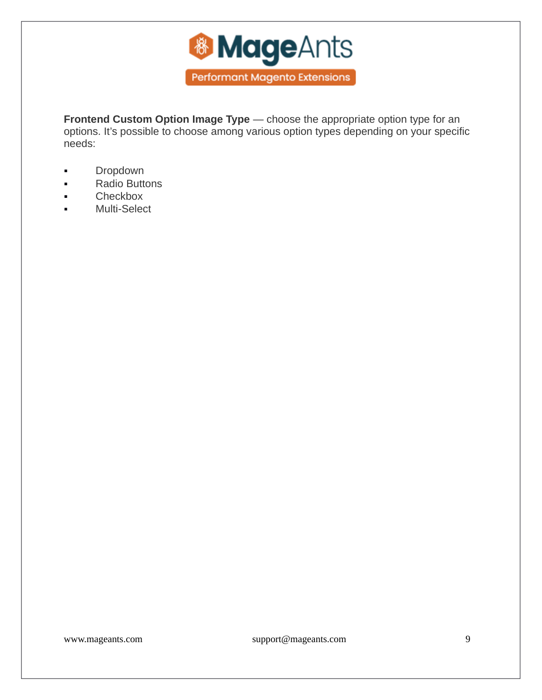

**Frontend Custom Option Image Type** — choose the appropriate option type for an options. It's possible to choose among various option types depending on your specific needs:

- **Dropdown**
- **Radio Buttons**
- Checkbox
- **Nulti-Select**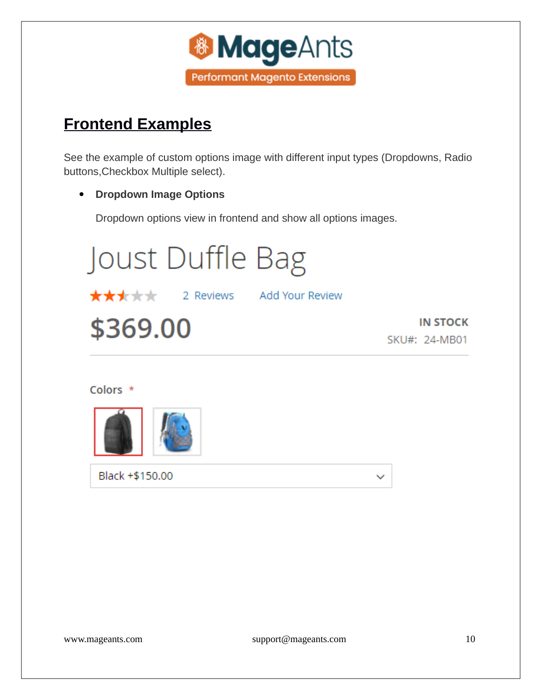

## <span id="page-9-0"></span>**Frontend Examples**

See the example of custom options image with different input types (Dropdowns, Radio buttons,Checkbox Multiple select).

#### **Dropdown Image Options**

Dropdown options view in frontend and show all options images.



#### Colors \*



Black +\$150.00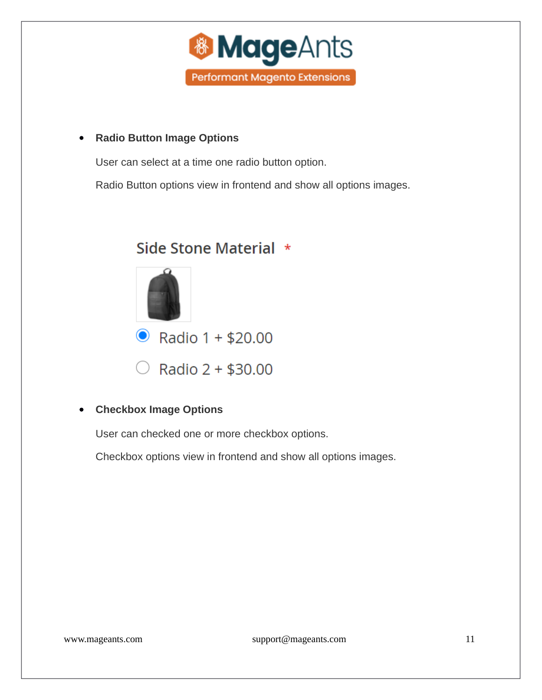

#### **Radio Button Image Options**

User can select at a time one radio button option.

Radio Button options view in frontend and show all options images.

### Side Stone Material \*



#### **Checkbox Image Options**

User can checked one or more checkbox options.

Checkbox options view in frontend and show all options images.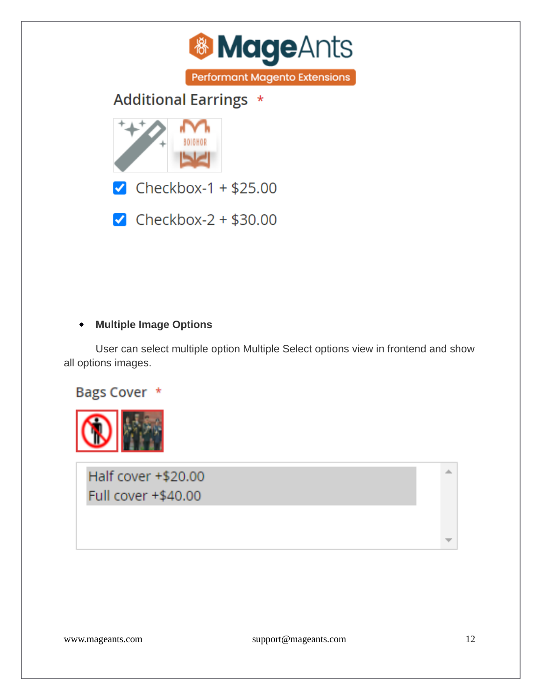



 $\blacktriangleright$  Checkbox-1 + \$25.00

 $\blacksquare$  Checkbox-2 + \$30.00

#### **Multiple Image Options**

User can select multiple option Multiple Select options view in frontend and show all options images.





Half cover +\$20.00 Full cover +\$40.00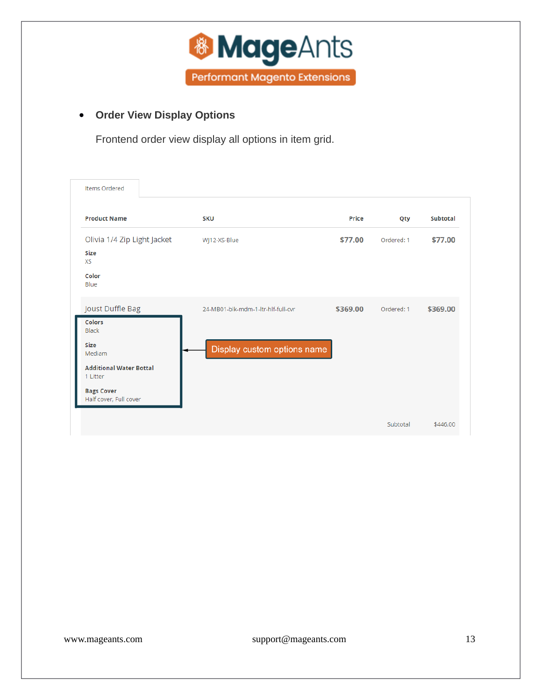

### **Order View Display Options**

Frontend order view display all options in item grid.

| <b>Items Ordered</b>                                                                                               |                                    |          |            |          |
|--------------------------------------------------------------------------------------------------------------------|------------------------------------|----------|------------|----------|
| <b>Product Name</b>                                                                                                | <b>SKU</b>                         | Price    | Qty        | Subtotal |
| Olivia 1/4 Zip Light Jacket<br><b>Size</b><br><b>XS</b><br>Color<br>Blue                                           | WJ12-XS-Blue                       | \$77.00  | Ordered: 1 | \$77.00  |
| Joust Duffle Bag<br><b>Colors</b><br><b>Black</b>                                                                  | 24-MB01-blk-mdm-1-ltr-hlf-full-cvr | \$369.00 | Ordered: 1 | \$369.00 |
| <b>Size</b><br>Mediam<br><b>Additional Water Bottal</b><br>1 Litter<br><b>Bags Cover</b><br>Half cover, Full cover | Display custom options name        |          |            |          |
|                                                                                                                    |                                    |          | Subtotal   | \$446.00 |